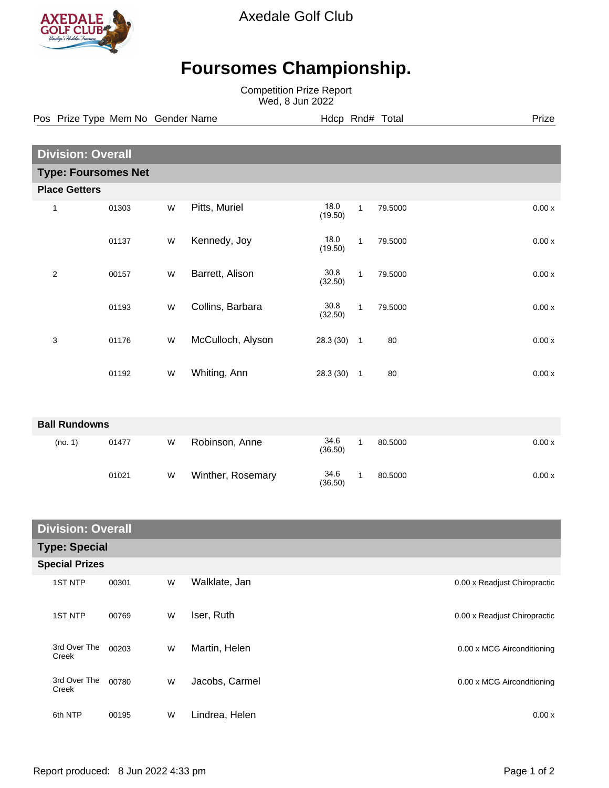

Axedale Golf Club

## **Foursomes Championship.**

Competition Prize Report Wed, 8 Jun 2022

Pos Prize Type Mem No Gender Name **Hdcp Rnd# Total** Prize Prize

| <b>Division: Overall</b>   |       |   |                   |                 |                |         |                    |  |
|----------------------------|-------|---|-------------------|-----------------|----------------|---------|--------------------|--|
| <b>Type: Foursomes Net</b> |       |   |                   |                 |                |         |                    |  |
| <b>Place Getters</b>       |       |   |                   |                 |                |         |                    |  |
| 1                          | 01303 | W | Pitts, Muriel     | 18.0<br>(19.50) | $\mathbf{1}$   | 79.5000 | 0.00x              |  |
|                            | 01137 | W | Kennedy, Joy      | 18.0<br>(19.50) | $\mathbf{1}$   | 79.5000 | 0.00x              |  |
| $\mathbf{2}$               | 00157 | W | Barrett, Alison   | 30.8<br>(32.50) | $\mathbf{1}$   | 79.5000 | $0.00\,\mathrm{x}$ |  |
|                            | 01193 | W | Collins, Barbara  | 30.8<br>(32.50) | $\mathbf{1}$   | 79.5000 | 0.00x              |  |
| 3                          | 01176 | W | McCulloch, Alyson | 28.3 (30)       | $\mathbf{1}$   | 80      | 0.00x              |  |
|                            | 01192 | W | Whiting, Ann      | 28.3 (30)       | $\overline{1}$ | 80      | 0.00x              |  |
|                            |       |   |                   |                 |                |         |                    |  |
| <b>Ball Rundowns</b>       |       |   |                   |                 |                |         |                    |  |
| (no. 1)                    | 01477 | W | Robinson, Anne    | 34.6<br>(36.50) | $\mathbf{1}$   | 80.5000 | $0.00x$            |  |
|                            | 01021 | W | Winther, Rosemary | 34.6<br>(36.50) | $\mathbf{1}$   | 80.5000 | 0.00x              |  |

| <b>Division: Overall</b> |                       |       |   |                |                              |  |
|--------------------------|-----------------------|-------|---|----------------|------------------------------|--|
| <b>Type: Special</b>     |                       |       |   |                |                              |  |
| <b>Special Prizes</b>    |                       |       |   |                |                              |  |
|                          | <b>1ST NTP</b>        | 00301 | W | Walklate, Jan  | 0.00 x Readjust Chiropractic |  |
|                          | <b>1ST NTP</b>        | 00769 | W | Iser, Ruth     | 0.00 x Readjust Chiropractic |  |
|                          | 3rd Over The<br>Creek | 00203 | W | Martin, Helen  | 0.00 x MCG Airconditioning   |  |
|                          | 3rd Over The<br>Creek | 00780 | W | Jacobs, Carmel | 0.00 x MCG Airconditioning   |  |
|                          | 6th NTP               | 00195 | W | Lindrea, Helen | 0.00x                        |  |